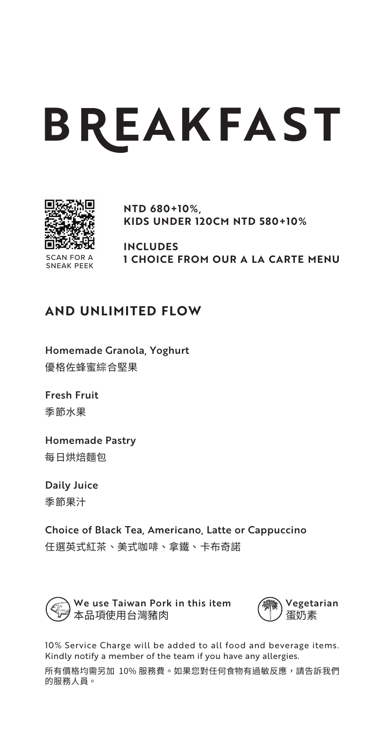# **B EAKFA ST**



**NTD 680+10%, KIDS UNDER 120CM NTD 580+10%**

SCAN FOR A SNEAK PEEK **INCLUDES 1 CHOICE FROM OUR A LA CARTE MENU**

# **AND UNLIMITED FLOW**

Homemade Granola, Yoghurt 優格佐蜂蜜綜合堅果

Fresh Fruit 季節水果

Homemade Pastry 每日烘焙麵包

Daily Juice 季節果汁

Choice of Black Tea, Americano, Latte or Cappuccino 任選英式紅茶、美式咖啡、拿鐵、卡布奇諾



We use Taiwan Pork in this item 本品項使用台灣豬肉



10% Service Charge will be added to all food and beverage items. Kindly notify a member of the team if you have any allergies.

所有價格均需另加 10% 服務費。如果您對任何食物有過敏反應,請告訴我們 的服務人員。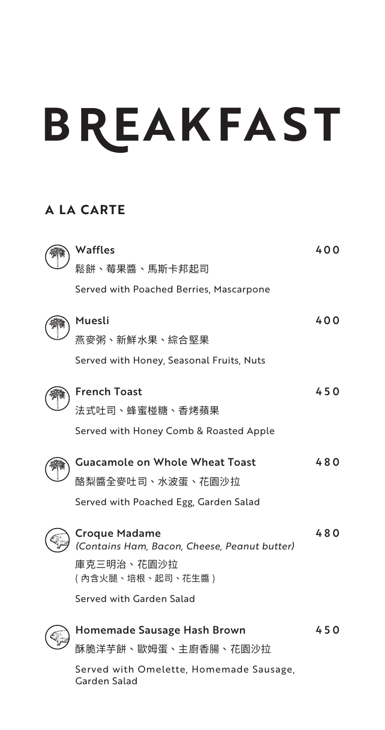# **B EAKFA ST**

# **A LA CARTE**

| Waffles                                                       | 400 |
|---------------------------------------------------------------|-----|
| 鬆餅、莓果醬、馬斯卡邦起司                                                 |     |
| Served with Poached Berries, Mascarpone                       |     |
| Muesli                                                        | 400 |
| 燕麥粥、新鮮水果、綜合堅果                                                 |     |
| Served with Honey, Seasonal Fruits, Nuts                      |     |
| <b>French Toast</b>                                           | 450 |
| 法式吐司、蜂蜜椪糖、香烤蘋果                                                |     |
| Served with Honey Comb & Roasted Apple                        |     |
| <b>Guacamole on Whole Wheat Toast</b>                         | 480 |
| 酪梨醬全麥吐司、水波蛋、花園沙拉                                              |     |
| Served with Poached Egg, Garden Salad                         |     |
| Croque Madame<br>(Contains Ham, Bacon, Cheese, Peanut butter) | 480 |
| 庫克三明治、花園沙拉<br>( 内含火腿、培根、起司、花生醬 )                              |     |
| Served with Garden Salad                                      |     |
| Homemade Sausage Hash Brown                                   | 450 |
| 酥脆洋芊餅、歐姆蛋、主廚香腸、花園沙拉                                           |     |
| Served with Omelette, Homemade Sausage,<br>Garden Salad       |     |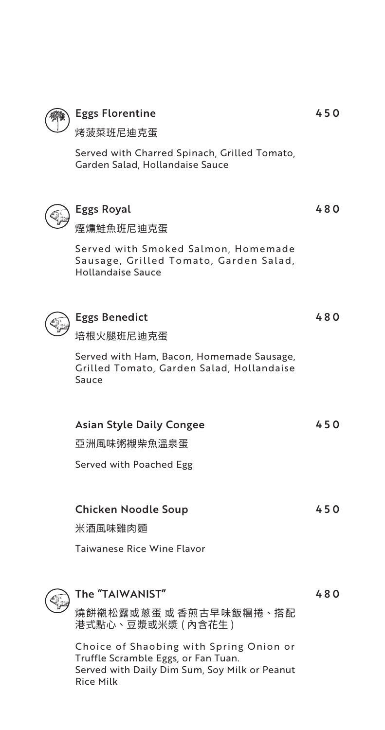

## Eggs Florentine

烤菠菜班尼迪克蛋

Served with Charred Spinach, Grilled Tomato, Garden Salad, Hollandaise Sauce



## Eggs Royal

煙燻鮭魚班尼迪克蛋

Served with Smoked Salmon, Homemade Sausage, Grilled Tomato, Garden Salad, Hollandaise Sauce



## Eggs Benedict

培根火腿班尼迪克蛋

Served with Ham, Bacon, Homemade Sausage, Grilled Tomato, Garden Salad, Hollandaise Sauce

| <b>Asian Style Daily Congee</b> | 450 |
|---------------------------------|-----|
| 亞洲風味粥襯柴魚溫泉蛋                     |     |
| Served with Poached Egg         |     |
|                                 |     |
| <b>Chicken Noodle Soup</b>      | 450 |
| 米酒風味雞肉麵                         |     |
| Taiwanese Rice Wine Flavor      |     |
|                                 |     |



## The "TAIWANIST"

480

燒餅襯松露或蔥蛋 或 香煎古早味飯糰捲、搭配 港式點心、豆漿或米漿 ( 內含花生 )

Choice of Shaobing with Spring Onion or Truffle Scramble Eggs, or Fan Tuan. Served with Daily Dim Sum, Soy Milk or Peanut Rice Milk

450

480

480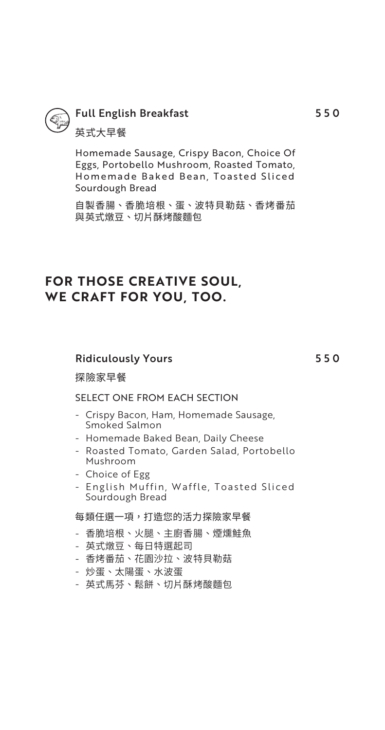

# Full English Breakfast

英式大早餐

Homemade Sausage, Crispy Bacon, Choice Of Eggs, Portobello Mushroom, Roasted Tomato, Homemade Baked Bean, Toasted Sliced Sourdough Bread

自製香腸、香脆培根、蛋、波特貝勒菇、香烤番茄 與英式燉豆、切片酥烤酸麵包

## **FOR THOSE CREATIVE SOUL, WE CRAFT FOR YOU, TOO.**

### Ridiculously Yours

550

#### 探險家早餐

### SELECT ONE FROM EACH SECTION

- Crispy Bacon, Ham, Homemade Sausage, Smoked Salmon
- Homemade Baked Bean, Daily Cheese
- Roasted Tomato, Garden Salad, Portobello Mushroom
- Choice of Egg -
- English Muffin, Waffle, Toasted Sliced Sourdough Bread

#### 每類任選一項,打造您的活力探險家早餐

- 香脆培根、火腿、主廚香腸、煙燻鮭魚 -
- 英式燉豆、每日特選起司
- 香烤番茄、花園沙拉、波特貝勒菇
- 炒蛋、太陽蛋、水波蛋
- 英式馬芬、鬆餅、切片酥烤酸麵包